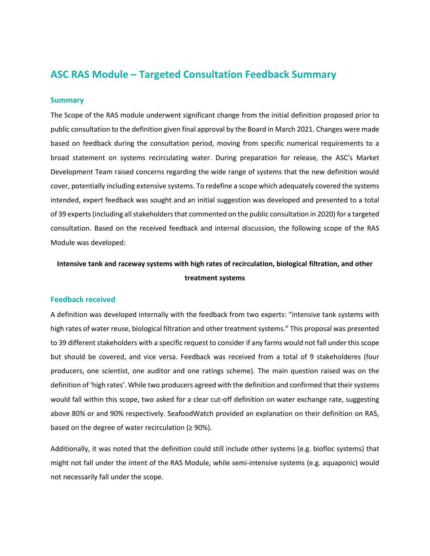## **ASC RAS Module – Targeted Consultation Feedback Summary**

## **Summary**

The Scope of the RAS module underwent significant change from the initial definition proposed prior to public consultation to the definition given final approval by the Board in March 2021. Changes were made based on feedback during the consultation period, moving from specific numerical requirements to a broad statement on systems recirculating water. During preparation for release, the ASC's Market Development Team raised concerns regarding the wide range of systems that the new definition would cover, potentially including extensive systems. To redefine a scope which adequately covered the systems intended, expert feedback was sought and an initial suggestion was developed and presented to a total of 39 experts (including all stakeholders that commented on the public consultation in 2020) for a targeted consultation. Based on the received feedback and internal discussion, the following scope of the RAS Module was developed:

**Intensive tank and raceway systems with high rates of recirculation, biological filtration, and other treatment systems**

## **Feedback received**

A definition was developed internally with the feedback from two experts: "intensive tank systems with high rates of water reuse, biological filtration and other treatment systems." This proposal was presented to 39 different stakeholders with a specific request to consider if any farms would not fall under this scope but should be covered, and vice versa. Feedback was received from a total of 9 stakeholderes (four producers, one scientist, one auditor and one ratings scheme). The main question raised was on the definition of 'high rates'. While two producers agreed with the definition and confirmed that their systems would fall within this scope, two asked for a clear cut-off definition on water exchange rate, suggesting above 80% or and 90% respectively. SeafoodWatch provided an explanation on their definition on RAS, based on the degree of water recirculation ( $\geq$  90%).

Additionally, it was noted that the definition could still include other systems (e.g. biofloc systems) that might not fall under the intent of the RAS Module, while semi-intensive systems (e.g. aquaponic) would not necessarily fall under the scope.